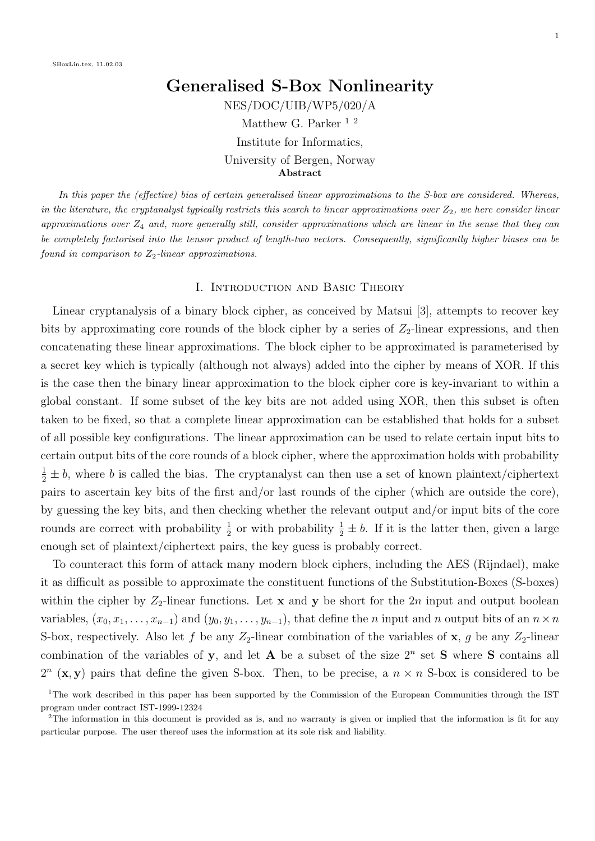# Generalised S-Box Nonlinearity NES/DOC/UIB/WP5/020/A Matthew G. Parker<sup>12</sup> Institute for Informatics, University of Bergen, Norway Abstract

In this paper the (effective) bias of certain generalised linear approximations to the S-box are considered. Whereas, in the literature, the cryptanalyst typically restricts this search to linear approximations over  $Z_2$ , we here consider linear approximations over  $Z_4$  and, more generally still, consider approximations which are linear in the sense that they can be completely factorised into the tensor product of length-two vectors. Consequently, significantly higher biases can be found in comparison to  $Z_2$ -linear approximations.

#### I. Introduction and Basic Theory

Linear cryptanalysis of a binary block cipher, as conceived by Matsui [3], attempts to recover key bits by approximating core rounds of the block cipher by a series of  $Z_2$ -linear expressions, and then concatenating these linear approximations. The block cipher to be approximated is parameterised by a secret key which is typically (although not always) added into the cipher by means of XOR. If this is the case then the binary linear approximation to the block cipher core is key-invariant to within a global constant. If some subset of the key bits are not added using XOR, then this subset is often taken to be fixed, so that a complete linear approximation can be established that holds for a subset of all possible key configurations. The linear approximation can be used to relate certain input bits to certain output bits of the core rounds of a block cipher, where the approximation holds with probability  $\frac{1}{2} \pm b$ , where b is called the bias. The cryptanalyst can then use a set of known plaintext/ciphertext pairs to ascertain key bits of the first and/or last rounds of the cipher (which are outside the core), by guessing the key bits, and then checking whether the relevant output and/or input bits of the core rounds are correct with probability  $\frac{1}{2}$  or with probability  $\frac{1}{2} \pm b$ . If it is the latter then, given a large enough set of plaintext/ciphertext pairs, the key guess is probably correct.

To counteract this form of attack many modern block ciphers, including the AES (Rijndael), make it as difficult as possible to approximate the constituent functions of the Substitution-Boxes (S-boxes) within the cipher by  $Z_2$ -linear functions. Let x and y be short for the 2n input and output boolean variables,  $(x_0, x_1, \ldots, x_{n-1})$  and  $(y_0, y_1, \ldots, y_{n-1})$ , that define the n input and n output bits of an  $n \times n$ S-box, respectively. Also let f be any  $Z_2$ -linear combination of the variables of x, g be any  $Z_2$ -linear combination of the variables of y, and let A be a subset of the size  $2^n$  set S where S contains all  $2^{n}$  (**x**, **y**) pairs that define the given S-box. Then, to be precise, a  $n \times n$  S-box is considered to be

<sup>&</sup>lt;sup>1</sup>The work described in this paper has been supported by the Commission of the European Communities through the IST program under contract IST-1999-12324

<sup>&</sup>lt;sup>2</sup>The information in this document is provided as is, and no warranty is given or implied that the information is fit for any particular purpose. The user thereof uses the information at its sole risk and liability.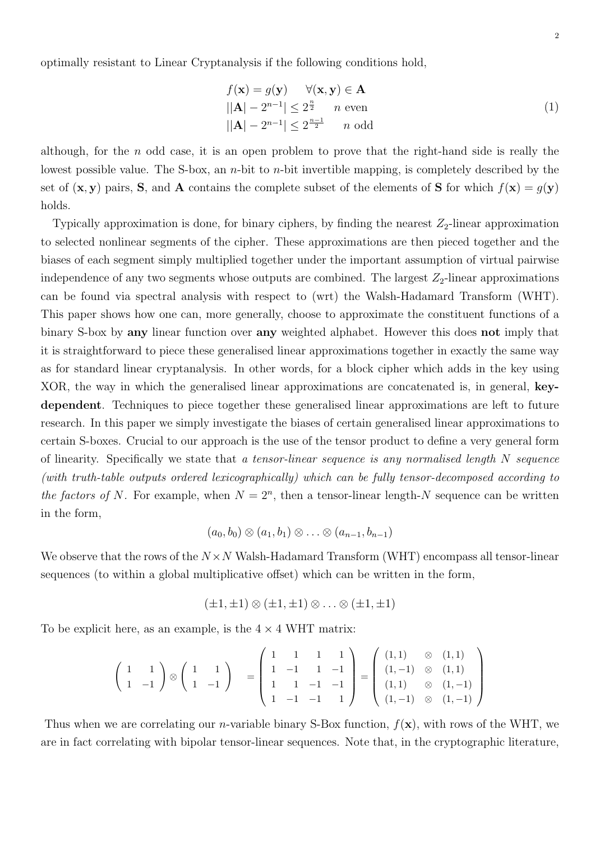optimally resistant to Linear Cryptanalysis if the following conditions hold,

$$
f(\mathbf{x}) = g(\mathbf{y}) \quad \forall (\mathbf{x}, \mathbf{y}) \in \mathbf{A}
$$
  
 
$$
||\mathbf{A}| - 2^{n-1} | \le 2^{\frac{n}{2}} \quad n \text{ even}
$$
  
 
$$
||\mathbf{A}| - 2^{n-1} | \le 2^{\frac{n-1}{2}} \quad n \text{ odd}
$$
 (1)

although, for the  $n$  odd case, it is an open problem to prove that the right-hand side is really the lowest possible value. The S-box, an *n*-bit to *n*-bit invertible mapping, is completely described by the set of  $(\mathbf{x}, \mathbf{y})$  pairs, S, and A contains the complete subset of the elements of S for which  $f(\mathbf{x}) = g(\mathbf{y})$ holds.

Typically approximation is done, for binary ciphers, by finding the nearest  $Z_2$ -linear approximation to selected nonlinear segments of the cipher. These approximations are then pieced together and the biases of each segment simply multiplied together under the important assumption of virtual pairwise independence of any two segments whose outputs are combined. The largest  $Z_2$ -linear approximations can be found via spectral analysis with respect to (wrt) the Walsh-Hadamard Transform (WHT). This paper shows how one can, more generally, choose to approximate the constituent functions of a binary S-box by any linear function over any weighted alphabet. However this does not imply that it is straightforward to piece these generalised linear approximations together in exactly the same way as for standard linear cryptanalysis. In other words, for a block cipher which adds in the key using XOR, the way in which the generalised linear approximations are concatenated is, in general, keydependent. Techniques to piece together these generalised linear approximations are left to future research. In this paper we simply investigate the biases of certain generalised linear approximations to certain S-boxes. Crucial to our approach is the use of the tensor product to define a very general form of linearity. Specifically we state that a tensor-linear sequence is any normalised length  $N$  sequence (with truth-table outputs ordered lexicographically) which can be fully tensor-decomposed according to the factors of N. For example, when  $N = 2<sup>n</sup>$ , then a tensor-linear length-N sequence can be written in the form,

$$
(a_0,b_0)\otimes (a_1,b_1)\otimes \ldots \otimes (a_{n-1},b_{n-1})
$$

We observe that the rows of the  $N \times N$  Walsh-Hadamard Transform (WHT) encompass all tensor-linear sequences (to within a global multiplicative offset) which can be written in the form,

$$
(\pm 1, \pm 1) \otimes (\pm 1, \pm 1) \otimes \ldots \otimes (\pm 1, \pm 1)
$$

To be explicit here, as an example, is the  $4 \times 4$  WHT matrix:

$$
\left(\begin{array}{cc}1 & 1 \\ 1 & -1\end{array}\right)\otimes\left(\begin{array}{cc}1 & 1 \\ 1 & -1\end{array}\right) = \left(\begin{array}{cccc}1 & 1 & 1 & 1 \\ 1 & -1 & 1 & -1 \\ 1 & 1 & -1 & -1 \\ 1 & -1 & -1 & 1\end{array}\right) = \left(\begin{array}{cc}(1,1) & \otimes & (1,1) \\ (1,-1) & \otimes & (1,1) \\ (1,1) & \otimes & (1,-1) \\ (1,-1) & \otimes & (1,-1)\end{array}\right)
$$

Thus when we are correlating our *n*-variable binary S-Box function,  $f(\mathbf{x})$ , with rows of the WHT, we are in fact correlating with bipolar tensor-linear sequences. Note that, in the cryptographic literature,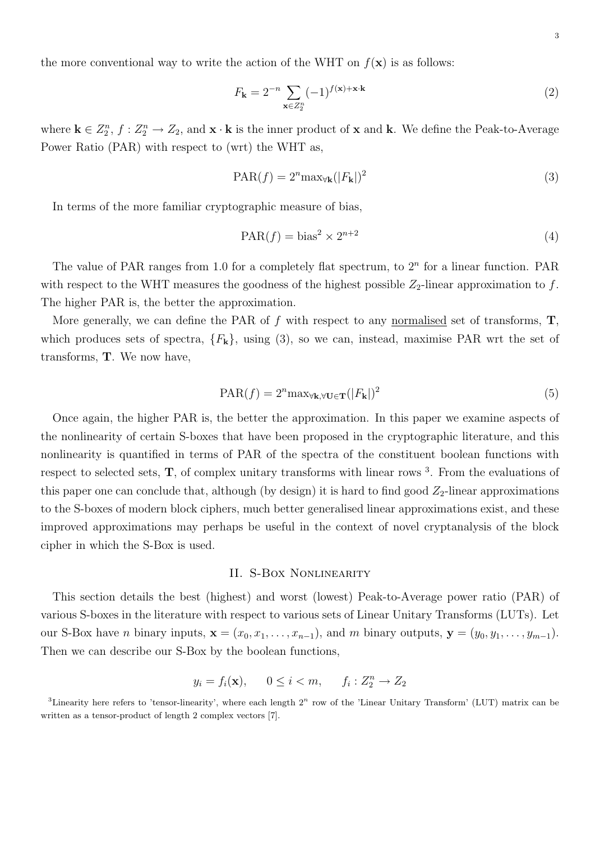the more conventional way to write the action of the WHT on  $f(\mathbf{x})$  is as follows:

$$
F_{\mathbf{k}} = 2^{-n} \sum_{\mathbf{x} \in Z_2^n} (-1)^{f(\mathbf{x}) + \mathbf{x} \cdot \mathbf{k}} \tag{2}
$$

where  $\mathbf{k} \in Z_2^n$ ,  $f: Z_2^n \to Z_2$ , and  $\mathbf{x} \cdot \mathbf{k}$  is the inner product of  $\mathbf{x}$  and  $\mathbf{k}$ . We define the Peak-to-Average Power Ratio (PAR) with respect to (wrt) the WHT as,

$$
PAR(f) = 2^n \max_{\forall \mathbf{k}} (|F_{\mathbf{k}}|)^2
$$
\n(3)

In terms of the more familiar cryptographic measure of bias,

$$
PAR(f) = bias^2 \times 2^{n+2}
$$
\n(4)

The value of PAR ranges from 1.0 for a completely flat spectrum, to  $2<sup>n</sup>$  for a linear function. PAR with respect to the WHT measures the goodness of the highest possible  $Z_2$ -linear approximation to f. The higher PAR is, the better the approximation.

More generally, we can define the PAR of  $f$  with respect to any normalised set of transforms,  $T$ , which produces sets of spectra,  ${F_k}$ , using (3), so we can, instead, maximise PAR wrt the set of transforms, T. We now have,

$$
PAR(f) = 2^{n} \max_{\forall \mathbf{k}, \forall \mathbf{U} \in \mathbf{T}} (|F_{\mathbf{k}}|)^{2}
$$
\n(5)

Once again, the higher PAR is, the better the approximation. In this paper we examine aspects of the nonlinearity of certain S-boxes that have been proposed in the cryptographic literature, and this nonlinearity is quantified in terms of PAR of the spectra of the constituent boolean functions with respect to selected sets,  $\mathbf{T}$ , of complex unitary transforms with linear rows <sup>3</sup>. From the evaluations of this paper one can conclude that, although (by design) it is hard to find good  $Z_2$ -linear approximations to the S-boxes of modern block ciphers, much better generalised linear approximations exist, and these improved approximations may perhaps be useful in the context of novel cryptanalysis of the block cipher in which the S-Box is used.

### II. S-Box Nonlinearity

This section details the best (highest) and worst (lowest) Peak-to-Average power ratio (PAR) of various S-boxes in the literature with respect to various sets of Linear Unitary Transforms (LUTs). Let our S-Box have *n* binary inputs,  $\mathbf{x} = (x_0, x_1, \ldots, x_{n-1})$ , and *m* binary outputs,  $\mathbf{y} = (y_0, y_1, \ldots, y_{m-1})$ . Then we can describe our S-Box by the boolean functions,

$$
y_i = f_i(\mathbf{x}), \qquad 0 \le i < m, \qquad f_i: Z_2^n \to Z_2
$$

<sup>&</sup>lt;sup>3</sup>Linearity here refers to 'tensor-linearity', where each length  $2<sup>n</sup>$  row of the 'Linear Unitary Transform' (LUT) matrix can be written as a tensor-product of length 2 complex vectors [7].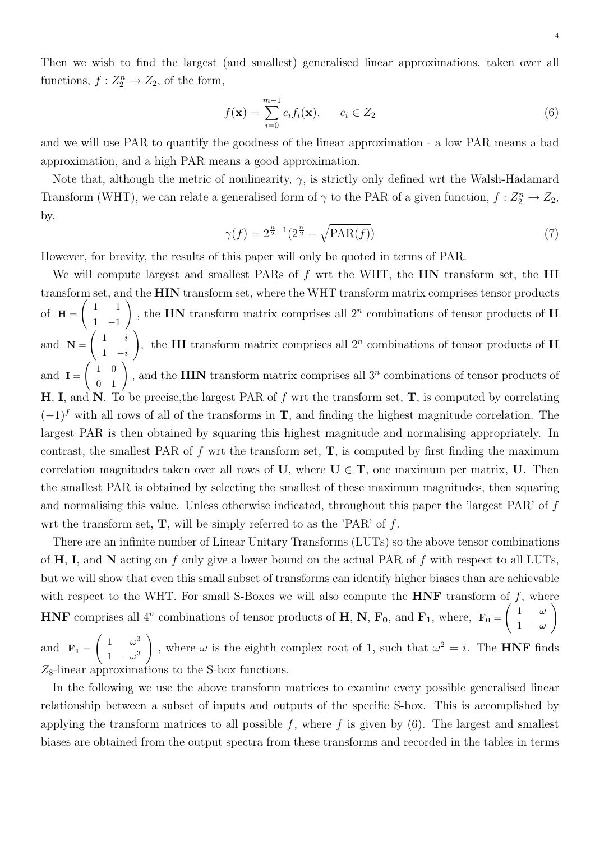Then we wish to find the largest (and smallest) generalised linear approximations, taken over all functions,  $f: Z_2^n \to Z_2$ , of the form,

$$
f(\mathbf{x}) = \sum_{i=0}^{m-1} c_i f_i(\mathbf{x}), \qquad c_i \in Z_2
$$
 (6)

and we will use PAR to quantify the goodness of the linear approximation - a low PAR means a bad approximation, and a high PAR means a good approximation.

Note that, although the metric of nonlinearity,  $\gamma$ , is strictly only defined wrt the Walsh-Hadamard Transform (WHT), we can relate a generalised form of  $\gamma$  to the PAR of a given function,  $f: Z_2^n \to Z_2$ , by,

$$
\gamma(f) = 2^{\frac{n}{2} - 1} (2^{\frac{n}{2}} - \sqrt{\text{PAR}(f)}) \tag{7}
$$

However, for brevity, the results of this paper will only be quoted in terms of PAR.

We will compute largest and smallest PARs of  $f$  wrt the WHT, the  $HN$  transform set, the  $HI$ transform set, and the HIN transform set, where the WHT transform matrix comprises tensor products of  $H =$  $\begin{pmatrix} 1 & 1 \end{pmatrix}$ 1 −1 ), the **HN** transform matrix comprises all  $2^n$  combinations of tensor products of **H** and  $N =$  $\begin{pmatrix} 1 & i \end{pmatrix}$  $1 - i$ ), the **HI** transform matrix comprises all  $2^n$  combinations of tensor products of **H** and  $I =$  $\begin{pmatrix} 1 & 0 \\ 0 & 1 \end{pmatrix}$ , and the **HIN** transform matrix comprises all 3<sup>n</sup> combinations of tensor products of H, I, and N. To be precise, the largest PAR of f wrt the transform set,  $T$ , is computed by correlating  $(-1)^f$  with all rows of all of the transforms in **T**, and finding the highest magnitude correlation. The largest PAR is then obtained by squaring this highest magnitude and normalising appropriately. In contrast, the smallest PAR of  $f$  wrt the transform set,  $T$ , is computed by first finding the maximum correlation magnitudes taken over all rows of U, where  $U \in T$ , one maximum per matrix, U. Then the smallest PAR is obtained by selecting the smallest of these maximum magnitudes, then squaring and normalising this value. Unless otherwise indicated, throughout this paper the 'largest PAR' of f wrt the transform set,  $\mathbf{T}$ , will be simply referred to as the 'PAR' of f.

There are an infinite number of Linear Unitary Transforms (LUTs) so the above tensor combinations of  $H$ , I, and N acting on f only give a lower bound on the actual PAR of f with respect to all LUTs, but we will show that even this small subset of transforms can identify higher biases than are achievable with respect to the WHT. For small S-Boxes we will also compute the  $HNF$  transform of f, where HNF comprises all 4<sup>n</sup> combinations of tensor products of H, N,  $F_0$ , and  $F_1$ , where,  $F_0 =$  $\begin{pmatrix} 1 & \omega \end{pmatrix}$ 1  $-\omega$  $\setminus$ 

and  $\mathbf{F}_1 =$  $\left( \begin{array}{cc} 1 & \omega^3 \end{array} \right)$ 1  $-\omega^3$  $\setminus$ , where  $\omega$  is the eighth complex root of 1, such that  $\omega^2 = i$ . The **HNF** finds  $Z_8$ -linear approximations to the S-box functions.

In the following we use the above transform matrices to examine every possible generalised linear relationship between a subset of inputs and outputs of the specific S-box. This is accomplished by applying the transform matrices to all possible f, where f is given by  $(6)$ . The largest and smallest biases are obtained from the output spectra from these transforms and recorded in the tables in terms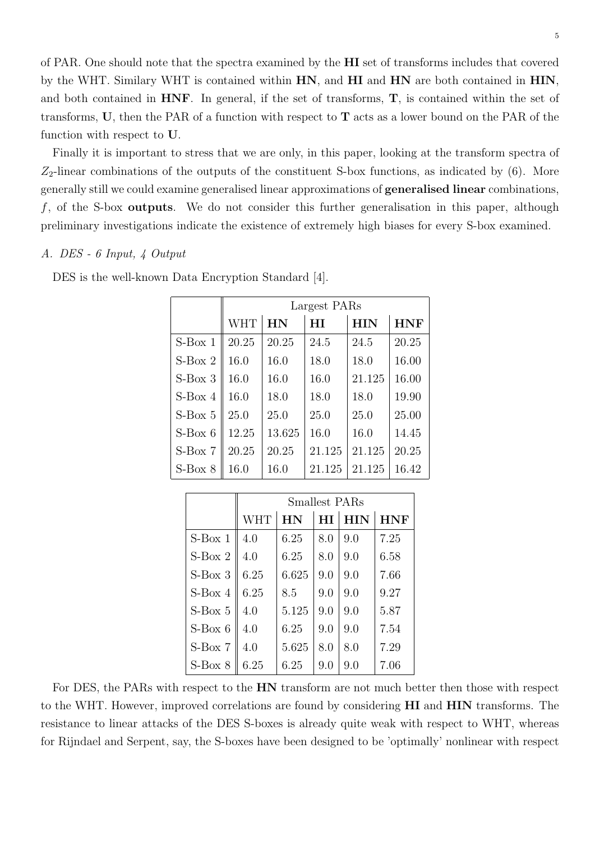of PAR. One should note that the spectra examined by the HI set of transforms includes that covered by the WHT. Similary WHT is contained within HN, and HI and HN are both contained in HIN, and both contained in  $HNF$ . In general, if the set of transforms,  $T$ , is contained within the set of transforms, U, then the PAR of a function with respect to  $\mathbf T$  acts as a lower bound on the PAR of the function with respect to U.

Finally it is important to stress that we are only, in this paper, looking at the transform spectra of  $Z_2$ -linear combinations of the outputs of the constituent S-box functions, as indicated by (6). More generally still we could examine generalised linear approximations of generalised linear combinations,  $f$ , of the S-box **outputs**. We do not consider this further generalisation in this paper, although preliminary investigations indicate the existence of extremely high biases for every S-box examined.

## A. DES - 6 Input, 4 Output

|           | Largest PARs |           |        |            |            |  |  |  |  |
|-----------|--------------|-----------|--------|------------|------------|--|--|--|--|
|           | <b>WHT</b>   | <b>HN</b> | НĪ     | <b>HIN</b> | <b>HNF</b> |  |  |  |  |
| $S-Box 1$ | 20.25        | 20.25     | 24.5   | 24.5       | 20.25      |  |  |  |  |
| $S-Box$ 2 | 16.0         | 16.0      | 18.0   | 18.0       | 16.00      |  |  |  |  |
| $S-Box$ 3 | 16.0         | 16.0      | 16.0   | 21.125     | 16.00      |  |  |  |  |
| $S-Box 4$ | 16.0         | 18.0      | 18.0   | 18.0       | 19.90      |  |  |  |  |
| $S-Box 5$ | 25.0         | 25.0      | 25.0   | 25.0       | 25.00      |  |  |  |  |
| $S-Box 6$ | 12.25        | 13.625    | 16.0   | 16.0       | 14.45      |  |  |  |  |
| $S-Box 7$ | 20.25        | 20.25     | 21.125 | 21.125     | 20.25      |  |  |  |  |
| $S-Box$ 8 | 16.0         | 16.0      | 21.125 | 21.125     | 16.42      |  |  |  |  |

DES is the well-known Data Encryption Standard [4].

|           |            | <b>Smallest PARs</b><br><b>HIN</b><br>HI<br>HN<br>6.25<br>8.0<br>9.0<br>6.25<br>9.0<br>8.0<br>6.625<br>9.0<br>9.0<br>9.0<br>9.0<br>8.5<br>5.125<br>9.0<br>9.0<br>6.25<br>9.0<br>9.0<br>5.625<br>8.0<br>8.0 |     |     |            |
|-----------|------------|------------------------------------------------------------------------------------------------------------------------------------------------------------------------------------------------------------|-----|-----|------------|
|           | <b>WHT</b> |                                                                                                                                                                                                            |     |     | <b>HNF</b> |
| $S-Box 1$ | 4.0        |                                                                                                                                                                                                            |     |     | 7.25       |
| $S-Box$ 2 | 4.0        |                                                                                                                                                                                                            |     |     | 6.58       |
| $S-Box$ 3 | 6.25       |                                                                                                                                                                                                            |     |     | 7.66       |
| $S-Box 4$ | 6.25       |                                                                                                                                                                                                            |     |     | 9.27       |
| $S-Box 5$ | 4.0        |                                                                                                                                                                                                            |     |     | 5.87       |
| $S-Box 6$ | 4.0        |                                                                                                                                                                                                            |     |     | 7.54       |
| $S-Box$ 7 | 4.0        |                                                                                                                                                                                                            |     |     | 7.29       |
| $S-Box$ 8 | 6.25       | 6.25                                                                                                                                                                                                       | 9.0 | 9.0 | 7.06       |

For DES, the PARs with respect to the HN transform are not much better then those with respect to the WHT. However, improved correlations are found by considering HI and HIN transforms. The resistance to linear attacks of the DES S-boxes is already quite weak with respect to WHT, whereas for Rijndael and Serpent, say, the S-boxes have been designed to be 'optimally' nonlinear with respect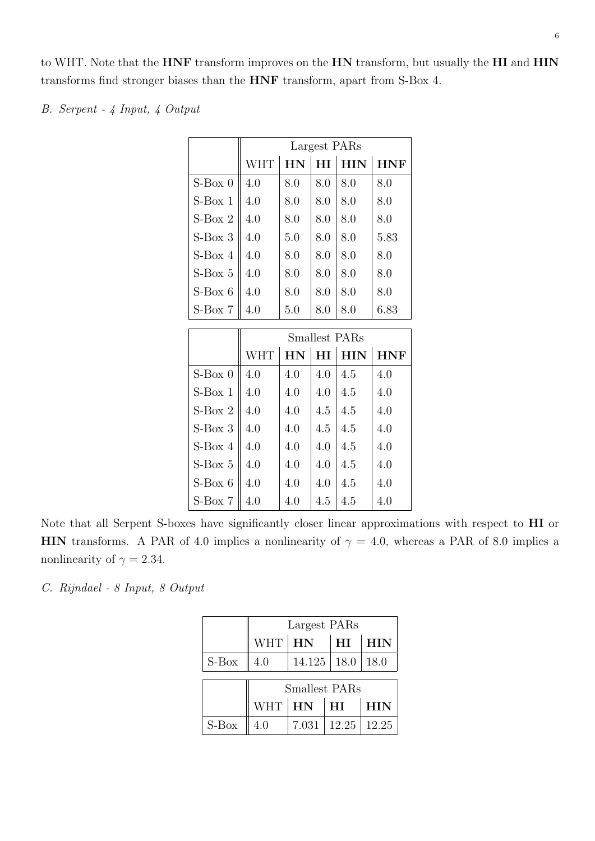to WHT. Note that the HNF transform improves on the HN transform, but usually the HI and HIN transforms find stronger biases than the HNF transform, apart from S-Box 4.

B. Serpent - 4 Input, 4 Output

|           | Largest PARs<br>HI<br><b>HIN</b><br><b>HN</b><br><b>WHT</b><br><b>HNF</b><br>4.0<br>8.0<br>8.0<br>8.0<br>8.0<br>4.0<br>8.0<br>8.0<br>8.0<br>8.0 |     |     |     |      |  |  |  |  |
|-----------|-------------------------------------------------------------------------------------------------------------------------------------------------|-----|-----|-----|------|--|--|--|--|
|           |                                                                                                                                                 |     |     |     |      |  |  |  |  |
|           |                                                                                                                                                 |     |     |     |      |  |  |  |  |
| $S-Box$ 0 |                                                                                                                                                 |     |     |     |      |  |  |  |  |
| $S-Box 1$ |                                                                                                                                                 |     |     |     |      |  |  |  |  |
| $S-Box$ 2 | 4.0                                                                                                                                             | 8.0 | 8.0 | 8.0 | 8.0  |  |  |  |  |
| $S-Box$ 3 | 4.0                                                                                                                                             | 5.0 | 8.0 | 8.0 | 5.83 |  |  |  |  |
| $S-Box 4$ | 4.0                                                                                                                                             | 8.0 | 8.0 | 8.0 | 8.0  |  |  |  |  |
| $S-Box 5$ | 4.0                                                                                                                                             | 8.0 | 8.0 | 8.0 | 8.0  |  |  |  |  |
| $S-Box 6$ | 4.0                                                                                                                                             | 8.0 | 8.0 | 8.0 | 8.0  |  |  |  |  |
| $S-Box 7$ | 4.0                                                                                                                                             | 5.0 | 8.0 | 8.0 | 6.83 |  |  |  |  |

|           |            |     |     | <b>Smallest PARs</b> |            |
|-----------|------------|-----|-----|----------------------|------------|
|           | <b>WHT</b> | HN  |     | $HI$ $HIN$           | <b>HNF</b> |
| $S-Box$ 0 | 4.0        | 4.0 | 4.0 | 4.5                  | 4.0        |
| $S-Box 1$ | 4.0        | 4.0 | 4.0 | 4.5                  | 4.0        |
| $S-Box$ 2 | 4.0        | 4.0 | 4.5 | 4.5                  | 4.0        |
| $S-Box$ 3 | 4.0        | 4.0 | 4.5 | 4.5                  | 4.0        |
| $S-Box 4$ | 4.0        | 4.0 | 4.0 | 4.5                  | 4.0        |
| $S-Box 5$ | 4.0        | 4.0 | 4.0 | 4.5                  | 4.0        |
| $S-Box 6$ | 4.0        | 4.0 | 4.0 | 4.5                  | 4.0        |
| $S-Box 7$ | 4.0        | 4.0 | 4.5 | 4.5                  | 4.0        |

Note that all Serpent S-boxes have significantly closer linear approximations with respect to HI or HIN transforms. A PAR of 4.0 implies a nonlinearity of  $\gamma = 4.0$ , whereas a PAR of 8.0 implies a nonlinearity of  $\gamma=2.34.$ 

C. Rijndael - 8 Input, 8 Output

|                      | Largest PARs |       |                 |            |  |  |  |
|----------------------|--------------|-------|-----------------|------------|--|--|--|
|                      | WHT   HN     |       | HI              | <b>HIN</b> |  |  |  |
| $S-Box$              | 4.0          |       | $14.125$   18.0 | 18.0       |  |  |  |
| <b>Smallest PARs</b> |              |       |                 |            |  |  |  |
|                      | WHT HN       |       | H <sub>I</sub>  | <b>HIN</b> |  |  |  |
| $S-Box$              | 4.0          | 7.031 | 12.25           | 12.25      |  |  |  |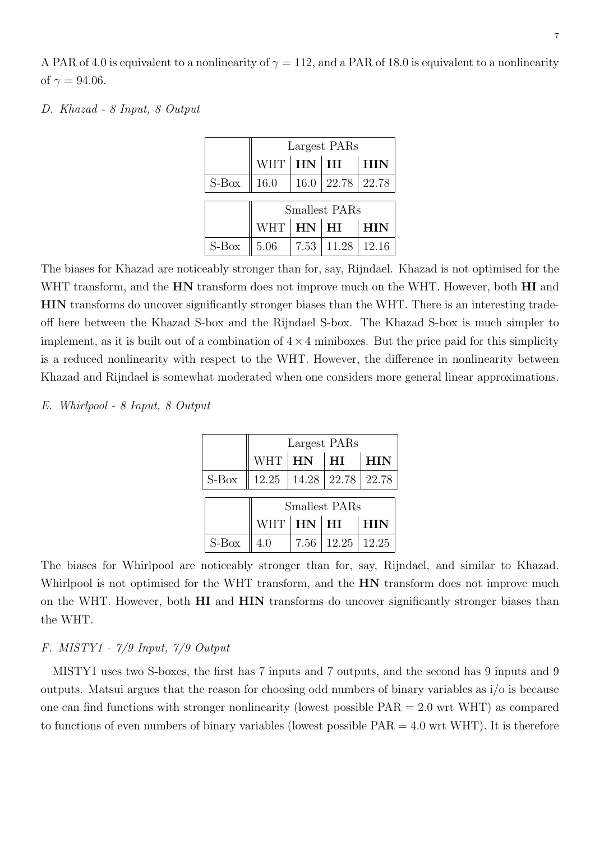7

A PAR of 4.0 is equivalent to a nonlinearity of  $\gamma = 112$ , and a PAR of 18.0 is equivalent to a nonlinearity of  $\gamma = 94.06$ .

## D. Khazad - 8 Input, 8 Output

|         | Largest PARs                |      |                        |            |  |  |  |
|---------|-----------------------------|------|------------------------|------------|--|--|--|
|         | WHT   <b>HN</b>   <b>HI</b> |      |                        | <b>HIN</b> |  |  |  |
| $S-Box$ | 16.0                        |      | $16.0$   22.78   22.78 |            |  |  |  |
|         | <b>Smallest PARs</b>        |      |                        |            |  |  |  |
|         | WHT   <b>HN</b>   <b>HI</b> |      |                        | <b>HIN</b> |  |  |  |
| $S-Box$ | 5.06                        | 7.53 | 11.28                  | 12.16      |  |  |  |

The biases for Khazad are noticeably stronger than for, say, Rijndael. Khazad is not optimised for the WHT transform, and the **HN** transform does not improve much on the WHT. However, both **HI** and HIN transforms do uncover significantly stronger biases than the WHT. There is an interesting tradeoff here between the Khazad S-box and the Rijndael S-box. The Khazad S-box is much simpler to implement, as it is built out of a combination of  $4 \times 4$  miniboxes. But the price paid for this simplicity is a reduced nonlinearity with respect to the WHT. However, the difference in nonlinearity between Khazad and Rijndael is somewhat moderated when one considers more general linear approximations.

## E. Whirlpool - 8 Input, 8 Output

|         | Largest PARs       |               |                                       |             |  |  |  |
|---------|--------------------|---------------|---------------------------------------|-------------|--|--|--|
|         | $WHT$ $\vert$ $HN$ |               | $\perp$ HI                            | <b>HIN</b>  |  |  |  |
| $S-Box$ |                    |               | $12.25$   $14.28$   $22.78$   $22.78$ |             |  |  |  |
|         | Smallest PARs      |               |                                       |             |  |  |  |
|         |                    | WHT   HN   HI |                                       | $\vert$ HIN |  |  |  |
| $S-Box$ | 4.0                |               | $7.56$   $12.25$   $12.25$            |             |  |  |  |

The biases for Whirlpool are noticeably stronger than for, say, Rijndael, and similar to Khazad. Whirlpool is not optimised for the WHT transform, and the  $HN$  transform does not improve much on the WHT. However, both **HI** and **HIN** transforms do uncover significantly stronger biases than the WHT.

# F. MISTY1 - 7/9 Input, 7/9 Output

MISTY1 uses two S-boxes, the first has 7 inputs and 7 outputs, and the second has 9 inputs and 9 outputs. Matsui argues that the reason for choosing odd numbers of binary variables as i/o is because one can find functions with stronger nonlinearity (lowest possible  $PAR = 2.0$  wrt WHT) as compared to functions of even numbers of binary variables (lowest possible  $PAR = 4.0$  wrt WHT). It is therefore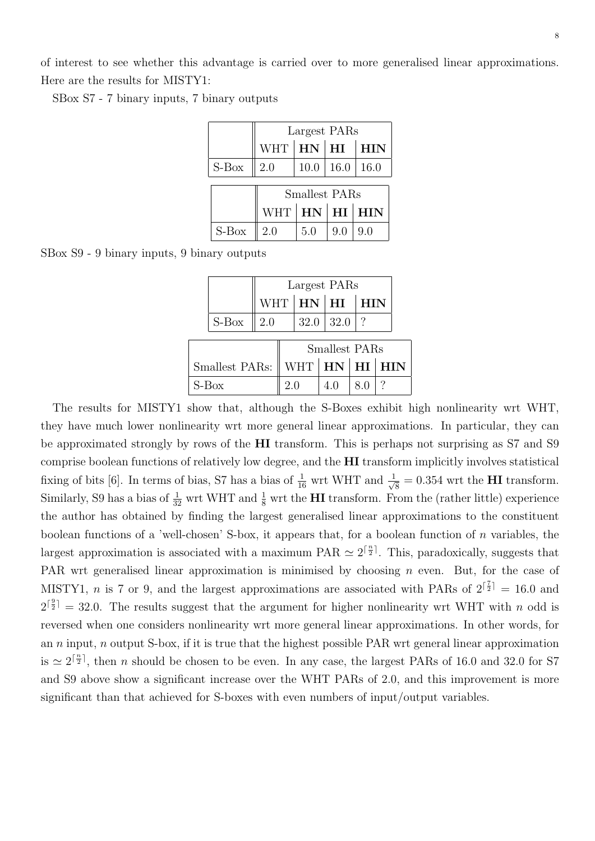8

of interest to see whether this advantage is carried over to more generalised linear approximations. Here are the results for MISTY1:

SBox S7 - 7 binary inputs, 7 binary outputs

|         |                                       | Largest PARs |                  |            |  |  |  |
|---------|---------------------------------------|--------------|------------------|------------|--|--|--|
|         | WHT $\vert$ HN $\vert$ HI             |              |                  | <b>HIN</b> |  |  |  |
| $S-Box$ | 2.0                                   |              | $10.0 \mid 16.0$ | 16.0       |  |  |  |
|         | Smallest PARs                         |              |                  |            |  |  |  |
|         | WHT $\vert$ HN $\vert$ HI $\vert$ HIN |              |                  |            |  |  |  |
| $S-Box$ | 2.0                                   | 5.0          | 9.0              | 9.0        |  |  |  |

| SBox S9 - 9 binary inputs, 9 binary outputs |  |  |  |  |  |  |
|---------------------------------------------|--|--|--|--|--|--|
|---------------------------------------------|--|--|--|--|--|--|

|                       |         |                             | Largest PARs |                                       |                  |                 |  |  |  |
|-----------------------|---------|-----------------------------|--------------|---------------------------------------|------------------|-----------------|--|--|--|
|                       |         | WHT   <b>HN</b>   <b>HI</b> |              |                                       |                  | $\parallel$ HIN |  |  |  |
|                       | $S-Box$ | 2.0                         |              |                                       | $32.0 \mid 32.0$ |                 |  |  |  |
| <b>Smallest PARs</b>  |         |                             |              |                                       |                  |                 |  |  |  |
| <b>Smallest PARs:</b> |         |                             |              | WHT $\vert$ HN $\vert$ HI $\vert$ HIN |                  |                 |  |  |  |
| $S-Box$               |         | 2.0                         |              | 4.0                                   | 8.0              | ?               |  |  |  |

The results for MISTY1 show that, although the S-Boxes exhibit high nonlinearity wrt WHT, they have much lower nonlinearity wrt more general linear approximations. In particular, they can be approximated strongly by rows of the HI transform. This is perhaps not surprising as S7 and S9 comprise boolean functions of relatively low degree, and the HI transform implicitly involves statistical fixing of bits [6]. In terms of bias, S7 has a bias of  $\frac{1}{16}$  wrt WHT and  $\frac{1}{\sqrt{}}$  $\overline{\overline{8}} = 0.354$  wrt the **HI** transform. Similarly, S9 has a bias of  $\frac{1}{32}$  wrt WHT and  $\frac{1}{8}$  wrt the **HI** transform. From the (rather little) experience the author has obtained by finding the largest generalised linear approximations to the constituent boolean functions of a 'well-chosen' S-box, it appears that, for a boolean function of  $n$  variables, the largest approximation is associated with a maximum PAR  $\simeq 2^{\lceil \frac{n}{2} \rceil}$ . This, paradoxically, suggests that PAR wrt generalised linear approximation is minimised by choosing  $n$  even. But, for the case of MISTY1, *n* is 7 or 9, and the largest approximations are associated with PARs of  $2^{\lceil \frac{7}{2} \rceil} = 16.0$  and  $2^{\lceil \frac{9}{2} \rceil} = 32.0$ . The results suggest that the argument for higher nonlinearity wrt WHT with n odd is reversed when one considers nonlinearity wrt more general linear approximations. In other words, for an  $n$  input,  $n$  output S-box, if it is true that the highest possible PAR wrt general linear approximation is  $\simeq 2^{\lceil \frac{n}{2} \rceil}$ , then n should be chosen to be even. In any case, the largest PARs of 16.0 and 32.0 for S7 and S9 above show a significant increase over the WHT PARs of 2.0, and this improvement is more significant than that achieved for S-boxes with even numbers of input/output variables.